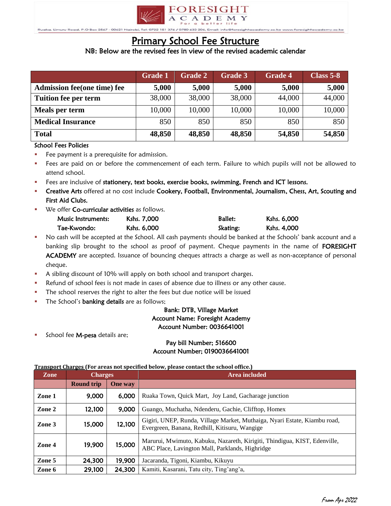

Ruaka, Limuru Road, P.O Br

# Primary School Fee Structure

## NB: Below are the revised fees in view of the revised academic calendar

|                                    | <b>Grade 1</b> | <b>Grade 2</b> | <b>Grade 3</b> | <b>Grade 4</b> | <b>Class 5-8</b> |
|------------------------------------|----------------|----------------|----------------|----------------|------------------|
| <b>Admission fee(one time) fee</b> | 5,000          | 5,000          | 5,000          | 5,000          | 5,000            |
| <b>Tuition fee per term</b>        | 38,000         | 38,000         | 38,000         | 44,000         | 44,000           |
| Meals per term                     | 10,000         | 10,000         | 10,000         | 10,000         | 10,000           |
| <b>Medical Insurance</b>           | 850            | 850            | 850            | 850            | 850              |
| <b>Total</b>                       | 48,850         | 48,850         | 48,850         | 54,850         | 54,850           |

### School Fees Policies

- Fee payment is a prerequisite for admission.
- Fees are paid on or before the commencement of each term. Failure to which pupils will not be allowed to attend school.
- Fees are inclusive of stationery, text books, exercise books, swimming, French and ICT lessons.
- Creative Arts offered at no cost include Cookery, Football, Environmental, Journalism, Chess, Art, Scouting and First Aid Clubs.
- We offer **Co-curricular activities** as follows.

| Music Instruments: | Kshs. 7,000 | <b>Ballet:</b> | Kshs. 6,000 |
|--------------------|-------------|----------------|-------------|
| Tae-Kwondo:        | Kshs. 6,000 | Skating:       | Kshs. 4,000 |

- No cash will be accepted at the School. All cash payments should be banked at the Schools' bank account and a banking slip brought to the school as proof of payment. Cheque payments in the name of FORESIGHT ACADEMY are accepted. Issuance of bouncing cheques attracts a charge as well as non-acceptance of personal cheque.
- A sibling discount of 10% will apply on both school and transport charges.
- Refund of school fees is not made in cases of absence due to illness or any other cause.
- The school reserves the right to alter the fees but due notice will be issued
- The School's **banking details** are as follows;

## Bank: DTB, Village Market Account Name: Foresight Academy Account Number: 0036641001

School fee M-pesa details are;

### Pay bill Number; 516600 Account Number; 0190036641001

#### **Transport Charges (For areas not specified below, please contact the school office.)**

| Zone   | <b>Charges</b>    |                | Area included                                                                                                                |
|--------|-------------------|----------------|------------------------------------------------------------------------------------------------------------------------------|
|        | <b>Round trip</b> | <b>One</b> way |                                                                                                                              |
| Zone 1 | 9,000             | 6,000          | Ruaka Town, Quick Mart, Joy Land, Gacharage junction                                                                         |
| Zone 2 | 12,100            | 9,000          | Guango, Muchatha, Ndenderu, Gachie, Clifftop, Homex                                                                          |
| Zone 3 | 15,000            | 12,100         | Gigiri, UNEP, Runda, Village Market, Muthaiga, Nyari Estate, Kiambu road,<br>Evergreen, Banana, Redhill, Kitisuru, Wangige   |
| Zone 4 | 19,900            | 15,000         | Marurui, Mwimuto, Kabuku, Nazareth, Kirigiti, Thindigua, KIST, Edenville,<br>ABC Place, Lavington Mall, Parklands, Highridge |
| Zone 5 | 24,300            | 19,900         | Jacaranda, Tigoni, Kiambu, Kikuyu                                                                                            |
| Zone 6 | 29,100            | 24,300         | Kamiti, Kasarani, Tatu city, Ting'ang'a,                                                                                     |